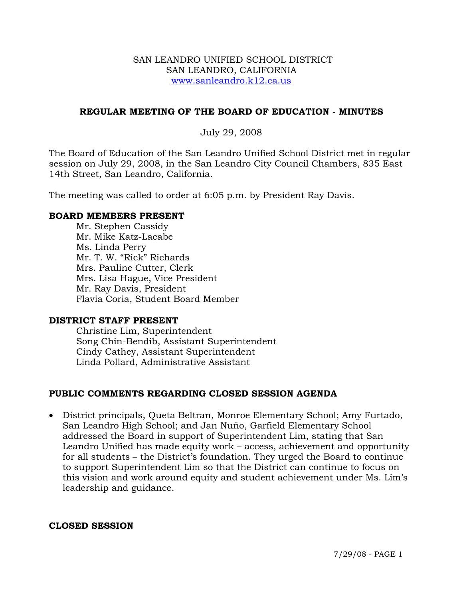### SAN LEANDRO UNIFIED SCHOOL DISTRICT SAN LEANDRO, CALIFORNIA www.sanleandro.k12.ca.us

### **REGULAR MEETING OF THE BOARD OF EDUCATION - MINUTES**

### July 29, 2008

The Board of Education of the San Leandro Unified School District met in regular session on July 29, 2008, in the San Leandro City Council Chambers, 835 East 14th Street, San Leandro, California.

The meeting was called to order at 6:05 p.m. by President Ray Davis.

### **BOARD MEMBERS PRESENT**

Mr. Stephen Cassidy Mr. Mike Katz-Lacabe Ms. Linda Perry Mr. T. W. "Rick" Richards Mrs. Pauline Cutter, Clerk Mrs. Lisa Hague, Vice President Mr. Ray Davis, President Flavia Coria, Student Board Member

### **DISTRICT STAFF PRESENT**

Christine Lim, Superintendent Song Chin-Bendib, Assistant Superintendent Cindy Cathey, Assistant Superintendent Linda Pollard, Administrative Assistant

## **PUBLIC COMMENTS REGARDING CLOSED SESSION AGENDA**

• District principals, Queta Beltran, Monroe Elementary School; Amy Furtado, San Leandro High School; and Jan Nuňo, Garfield Elementary School addressed the Board in support of Superintendent Lim, stating that San Leandro Unified has made equity work – access, achievement and opportunity for all students – the District's foundation. They urged the Board to continue to support Superintendent Lim so that the District can continue to focus on this vision and work around equity and student achievement under Ms. Lim's leadership and guidance.

### **CLOSED SESSION**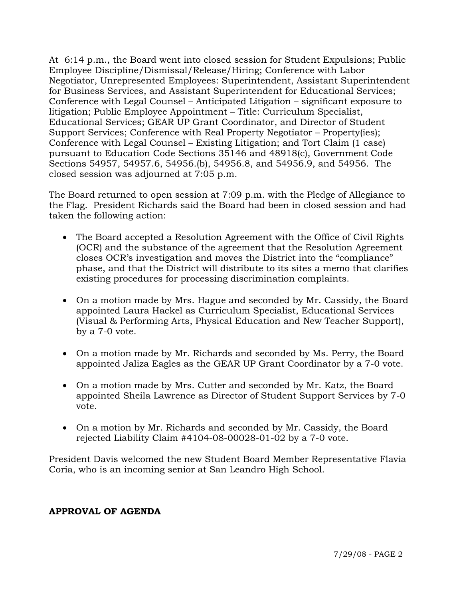At 6:14 p.m., the Board went into closed session for Student Expulsions; Public Employee Discipline/Dismissal/Release/Hiring; Conference with Labor Negotiator, Unrepresented Employees: Superintendent, Assistant Superintendent for Business Services, and Assistant Superintendent for Educational Services; Conference with Legal Counsel – Anticipated Litigation – significant exposure to litigation; Public Employee Appointment – Title: Curriculum Specialist, Educational Services; GEAR UP Grant Coordinator, and Director of Student Support Services; Conference with Real Property Negotiator – Property(ies); Conference with Legal Counsel – Existing Litigation; and Tort Claim (1 case) pursuant to Education Code Sections 35146 and 48918(c), Government Code Sections 54957, 54957.6, 54956.(b), 54956.8, and 54956.9, and 54956. The closed session was adjourned at 7:05 p.m.

The Board returned to open session at 7:09 p.m. with the Pledge of Allegiance to the Flag. President Richards said the Board had been in closed session and had taken the following action:

- The Board accepted a Resolution Agreement with the Office of Civil Rights (OCR) and the substance of the agreement that the Resolution Agreement closes OCR's investigation and moves the District into the "compliance" phase, and that the District will distribute to its sites a memo that clarifies existing procedures for processing discrimination complaints.
- On a motion made by Mrs. Hague and seconded by Mr. Cassidy, the Board appointed Laura Hackel as Curriculum Specialist, Educational Services (Visual & Performing Arts, Physical Education and New Teacher Support), by a 7-0 vote.
- On a motion made by Mr. Richards and seconded by Ms. Perry, the Board appointed Jaliza Eagles as the GEAR UP Grant Coordinator by a 7-0 vote.
- On a motion made by Mrs. Cutter and seconded by Mr. Katz, the Board appointed Sheila Lawrence as Director of Student Support Services by 7-0 vote.
- On a motion by Mr. Richards and seconded by Mr. Cassidy, the Board rejected Liability Claim #4104-08-00028-01-02 by a 7-0 vote.

President Davis welcomed the new Student Board Member Representative Flavia Coria, who is an incoming senior at San Leandro High School.

## **APPROVAL OF AGENDA**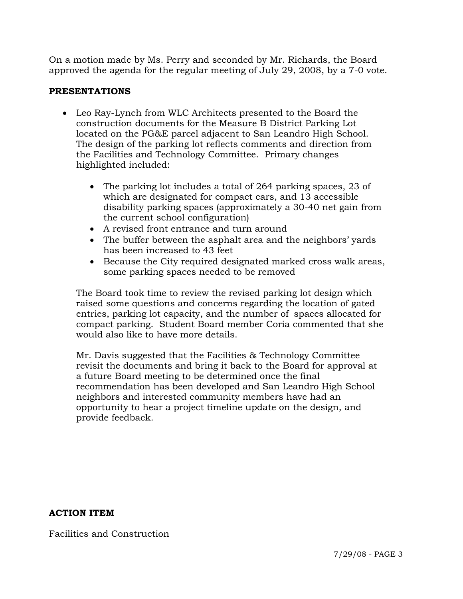On a motion made by Ms. Perry and seconded by Mr. Richards, the Board approved the agenda for the regular meeting of July 29, 2008, by a 7-0 vote.

## **PRESENTATIONS**

- Leo Ray-Lynch from WLC Architects presented to the Board the construction documents for the Measure B District Parking Lot located on the PG&E parcel adjacent to San Leandro High School. The design of the parking lot reflects comments and direction from the Facilities and Technology Committee. Primary changes highlighted included:
	- The parking lot includes a total of 264 parking spaces, 23 of which are designated for compact cars, and 13 accessible disability parking spaces (approximately a 30-40 net gain from the current school configuration)
	- A revised front entrance and turn around
	- The buffer between the asphalt area and the neighbors' yards has been increased to 43 feet
	- Because the City required designated marked cross walk areas, some parking spaces needed to be removed

 The Board took time to review the revised parking lot design which raised some questions and concerns regarding the location of gated entries, parking lot capacity, and the number of spaces allocated for compact parking. Student Board member Coria commented that she would also like to have more details.

 Mr. Davis suggested that the Facilities & Technology Committee revisit the documents and bring it back to the Board for approval at a future Board meeting to be determined once the final recommendation has been developed and San Leandro High School neighbors and interested community members have had an opportunity to hear a project timeline update on the design, and provide feedback.

**ACTION ITEM** 

Facilities and Construction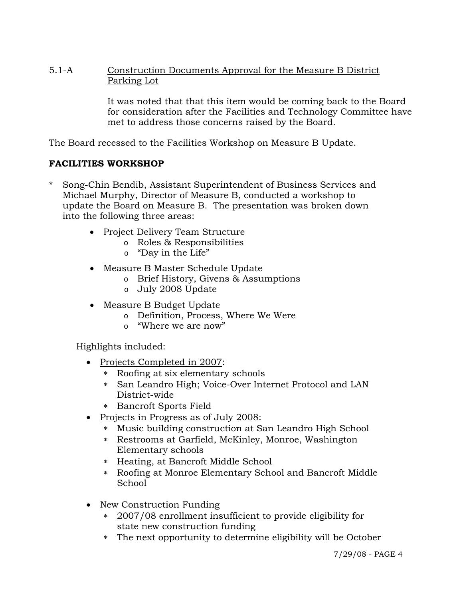5.1-A Construction Documents Approval for the Measure B District Parking Lot

> It was noted that that this item would be coming back to the Board for consideration after the Facilities and Technology Committee have met to address those concerns raised by the Board.

The Board recessed to the Facilities Workshop on Measure B Update.

# **FACILITIES WORKSHOP**

- Song-Chin Bendib, Assistant Superintendent of Business Services and Michael Murphy, Director of Measure B, conducted a workshop to update the Board on Measure B. The presentation was broken down into the following three areas:
	- Project Delivery Team Structure
		- o Roles & Responsibilities
		- o "Day in the Life"
	- Measure B Master Schedule Update
		- o Brief History, Givens & Assumptions
		- o July 2008 Update
	- Measure B Budget Update
		- o Definition, Process, Where We Were
		- o "Where we are now"

Highlights included:

- Projects Completed in 2007:
	- ∗ Roofing at six elementary schools
	- ∗ San Leandro High; Voice-Over Internet Protocol and LAN District-wide
	- ∗ Bancroft Sports Field
- Projects in Progress as of July 2008:
	- ∗ Music building construction at San Leandro High School
	- ∗ Restrooms at Garfield, McKinley, Monroe, Washington Elementary schools
	- ∗ Heating, at Bancroft Middle School
	- ∗ Roofing at Monroe Elementary School and Bancroft Middle School
- New Construction Funding
	- ∗ 2007/08 enrollment insufficient to provide eligibility for state new construction funding
	- ∗ The next opportunity to determine eligibility will be October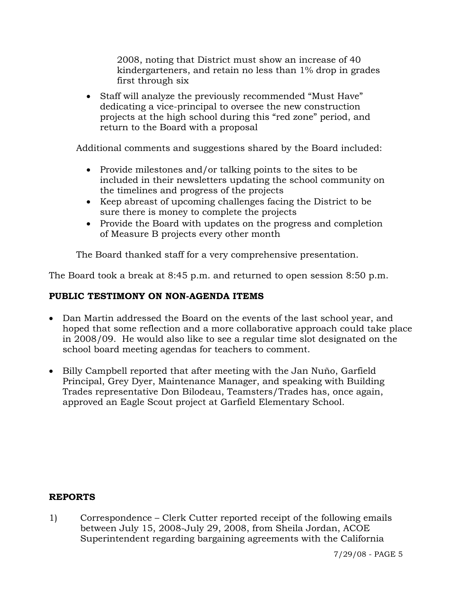2008, noting that District must show an increase of 40 kindergarteners, and retain no less than 1% drop in grades first through six

• Staff will analyze the previously recommended "Must Have" dedicating a vice-principal to oversee the new construction projects at the high school during this "red zone" period, and return to the Board with a proposal

Additional comments and suggestions shared by the Board included:

- Provide milestones and/or talking points to the sites to be included in their newsletters updating the school community on the timelines and progress of the projects
- Keep abreast of upcoming challenges facing the District to be sure there is money to complete the projects
- Provide the Board with updates on the progress and completion of Measure B projects every other month

The Board thanked staff for a very comprehensive presentation.

The Board took a break at 8:45 p.m. and returned to open session 8:50 p.m.

# **PUBLIC TESTIMONY ON NON-AGENDA ITEMS**

- Dan Martin addressed the Board on the events of the last school year, and hoped that some reflection and a more collaborative approach could take place in 2008/09. He would also like to see a regular time slot designated on the school board meeting agendas for teachers to comment.
- Billy Campbell reported that after meeting with the Jan Nuño, Garfield Principal, Grey Dyer, Maintenance Manager, and speaking with Building Trades representative Don Bilodeau, Teamsters/Trades has, once again, approved an Eagle Scout project at Garfield Elementary School.

## **REPORTS**

1) Correspondence – Clerk Cutter reported receipt of the following emails between July 15, 2008-July 29, 2008, from Sheila Jordan, ACOE Superintendent regarding bargaining agreements with the California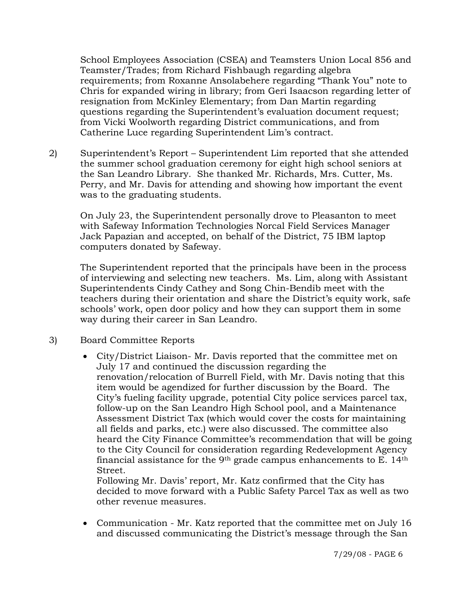School Employees Association (CSEA) and Teamsters Union Local 856 and Teamster/Trades; from Richard Fishbaugh regarding algebra requirements; from Roxanne Ansolabehere regarding "Thank You" note to Chris for expanded wiring in library; from Geri Isaacson regarding letter of resignation from McKinley Elementary; from Dan Martin regarding questions regarding the Superintendent's evaluation document request; from Vicki Woolworth regarding District communications, and from Catherine Luce regarding Superintendent Lim's contract.

2) Superintendent's Report – Superintendent Lim reported that she attended the summer school graduation ceremony for eight high school seniors at the San Leandro Library. She thanked Mr. Richards, Mrs. Cutter, Ms. Perry, and Mr. Davis for attending and showing how important the event was to the graduating students.

On July 23, the Superintendent personally drove to Pleasanton to meet with Safeway Information Technologies Norcal Field Services Manager Jack Papazian and accepted, on behalf of the District, 75 IBM laptop computers donated by Safeway.

The Superintendent reported that the principals have been in the process of interviewing and selecting new teachers. Ms. Lim, along with Assistant Superintendents Cindy Cathey and Song Chin-Bendib meet with the teachers during their orientation and share the District's equity work, safe schools' work, open door policy and how they can support them in some way during their career in San Leandro.

- 3) Board Committee Reports
	- City/District Liaison- Mr. Davis reported that the committee met on July 17 and continued the discussion regarding the renovation/relocation of Burrell Field, with Mr. Davis noting that this item would be agendized for further discussion by the Board. The City's fueling facility upgrade, potential City police services parcel tax, follow-up on the San Leandro High School pool, and a Maintenance Assessment District Tax (which would cover the costs for maintaining all fields and parks, etc.) were also discussed. The committee also heard the City Finance Committee's recommendation that will be going to the City Council for consideration regarding Redevelopment Agency financial assistance for the 9<sup>th</sup> grade campus enhancements to E.  $14<sup>th</sup>$ Street.

Following Mr. Davis' report, Mr. Katz confirmed that the City has decided to move forward with a Public Safety Parcel Tax as well as two other revenue measures.

• Communication - Mr. Katz reported that the committee met on July 16 and discussed communicating the District's message through the San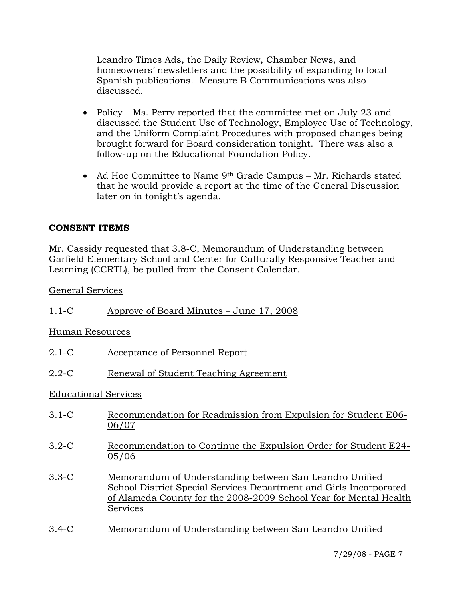Leandro Times Ads, the Daily Review, Chamber News, and homeowners' newsletters and the possibility of expanding to local Spanish publications. Measure B Communications was also discussed.

- Policy Ms. Perry reported that the committee met on July 23 and discussed the Student Use of Technology, Employee Use of Technology, and the Uniform Complaint Procedures with proposed changes being brought forward for Board consideration tonight. There was also a follow-up on the Educational Foundation Policy.
- Ad Hoc Committee to Name 9<sup>th</sup> Grade Campus Mr. Richards stated that he would provide a report at the time of the General Discussion later on in tonight's agenda.

## **CONSENT ITEMS**

Mr. Cassidy requested that 3.8-C, Memorandum of Understanding between Garfield Elementary School and Center for Culturally Responsive Teacher and Learning (CCRTL), be pulled from the Consent Calendar.

General Services

| Approve of Board Minutes – June 17, 2008 |
|------------------------------------------|
|------------------------------------------|

Human Resources

- 2.1-C Acceptance of Personnel Report
- 2.2-C Renewal of Student Teaching Agreement

### Educational Services

- 3.1-C Recommendation for Readmission from Expulsion for Student E06- 06/07
- 3.2-C Recommendation to Continue the Expulsion Order for Student E24- 05/06
- 3.3-C Memorandum of Understanding between San Leandro Unified School District Special Services Department and Girls Incorporated of Alameda County for the 2008-2009 School Year for Mental Health Services
- 3.4-C Memorandum of Understanding between San Leandro Unified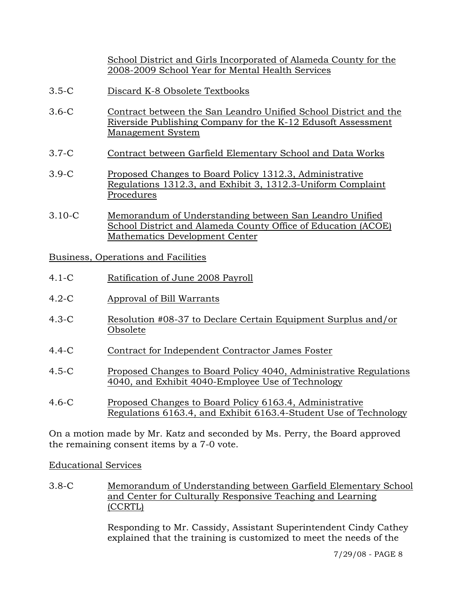School District and Girls Incorporated of Alameda County for the 2008-2009 School Year for Mental Health Services

- 3.5-C Discard K-8 Obsolete Textbooks
- 3.6-C Contract between the San Leandro Unified School District and the Riverside Publishing Company for the K-12 Edusoft Assessment Management System
- 3.7-C Contract between Garfield Elementary School and Data Works
- 3.9-C Proposed Changes to Board Policy 1312.3, Administrative Regulations 1312.3, and Exhibit 3, 1312.3-Uniform Complaint Procedures
- 3.10-C Memorandum of Understanding between San Leandro Unified School District and Alameda County Office of Education (ACOE) Mathematics Development Center

Business, Operations and Facilities

- 4.1-C Ratification of June 2008 Payroll
- 4.2-C Approval of Bill Warrants
- 4.3-C Resolution #08-37 to Declare Certain Equipment Surplus and/or Obsolete
- 4.4-C Contract for Independent Contractor James Foster
- 4.5-C Proposed Changes to Board Policy 4040, Administrative Regulations 4040, and Exhibit 4040-Employee Use of Technology
- 4.6-C Proposed Changes to Board Policy 6163.4, Administrative Regulations 6163.4, and Exhibit 6163.4-Student Use of Technology

On a motion made by Mr. Katz and seconded by Ms. Perry, the Board approved the remaining consent items by a 7-0 vote.

Educational Services

3.8-C Memorandum of Understanding between Garfield Elementary School and Center for Culturally Responsive Teaching and Learning (CCRTL)

> Responding to Mr. Cassidy, Assistant Superintendent Cindy Cathey explained that the training is customized to meet the needs of the

> > 7/29/08 - PAGE 8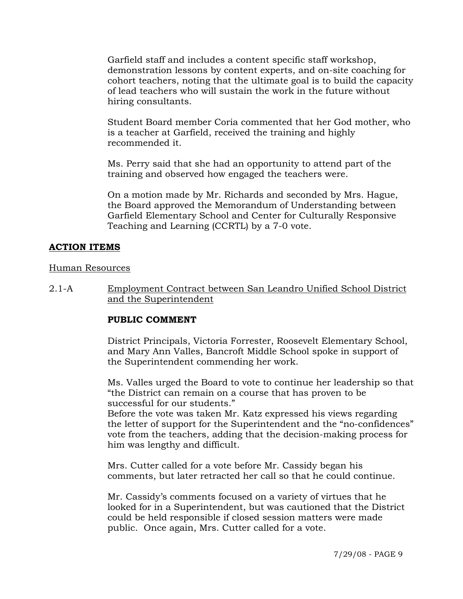Garfield staff and includes a content specific staff workshop, demonstration lessons by content experts, and on-site coaching for cohort teachers, noting that the ultimate goal is to build the capacity of lead teachers who will sustain the work in the future without hiring consultants.

Student Board member Coria commented that her God mother, who is a teacher at Garfield, received the training and highly recommended it.

Ms. Perry said that she had an opportunity to attend part of the training and observed how engaged the teachers were.

On a motion made by Mr. Richards and seconded by Mrs. Hague, the Board approved the Memorandum of Understanding between Garfield Elementary School and Center for Culturally Responsive Teaching and Learning (CCRTL) by a 7-0 vote.

# **ACTION ITEMS**

### Human Resources

2.1-A Employment Contract between San Leandro Unified School District and the Superintendent

## **PUBLIC COMMENT**

District Principals, Victoria Forrester, Roosevelt Elementary School, and Mary Ann Valles, Bancroft Middle School spoke in support of the Superintendent commending her work.

Ms. Valles urged the Board to vote to continue her leadership so that "the District can remain on a course that has proven to be successful for our students."

Before the vote was taken Mr. Katz expressed his views regarding the letter of support for the Superintendent and the "no-confidences" vote from the teachers, adding that the decision-making process for him was lengthy and difficult.

Mrs. Cutter called for a vote before Mr. Cassidy began his comments, but later retracted her call so that he could continue.

Mr. Cassidy's comments focused on a variety of virtues that he looked for in a Superintendent, but was cautioned that the District could be held responsible if closed session matters were made public. Once again, Mrs. Cutter called for a vote.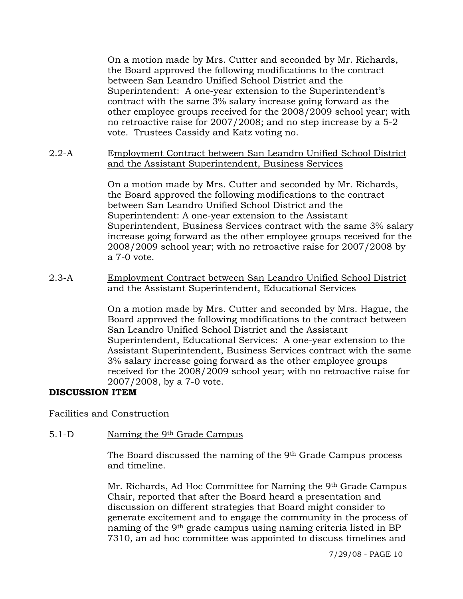On a motion made by Mrs. Cutter and seconded by Mr. Richards, the Board approved the following modifications to the contract between San Leandro Unified School District and the Superintendent: A one-year extension to the Superintendent's contract with the same 3% salary increase going forward as the other employee groups received for the 2008/2009 school year; with no retroactive raise for 2007/2008; and no step increase by a 5-2 vote. Trustees Cassidy and Katz voting no.

2.2-A Employment Contract between San Leandro Unified School District and the Assistant Superintendent, Business Services

> On a motion made by Mrs. Cutter and seconded by Mr. Richards, the Board approved the following modifications to the contract between San Leandro Unified School District and the Superintendent: A one-year extension to the Assistant Superintendent, Business Services contract with the same 3% salary increase going forward as the other employee groups received for the 2008/2009 school year; with no retroactive raise for 2007/2008 by a 7-0 vote.

2.3-A Employment Contract between San Leandro Unified School District and the Assistant Superintendent, Educational Services

> On a motion made by Mrs. Cutter and seconded by Mrs. Hague, the Board approved the following modifications to the contract between San Leandro Unified School District and the Assistant Superintendent, Educational Services: A one-year extension to the Assistant Superintendent, Business Services contract with the same 3% salary increase going forward as the other employee groups received for the 2008/2009 school year; with no retroactive raise for 2007/2008, by a 7-0 vote.

## **DISCUSSION ITEM**

Facilities and Construction

## 5.1-D Naming the 9th Grade Campus

The Board discussed the naming of the 9th Grade Campus process and timeline.

Mr. Richards, Ad Hoc Committee for Naming the 9th Grade Campus Chair, reported that after the Board heard a presentation and discussion on different strategies that Board might consider to generate excitement and to engage the community in the process of naming of the 9th grade campus using naming criteria listed in BP 7310, an ad hoc committee was appointed to discuss timelines and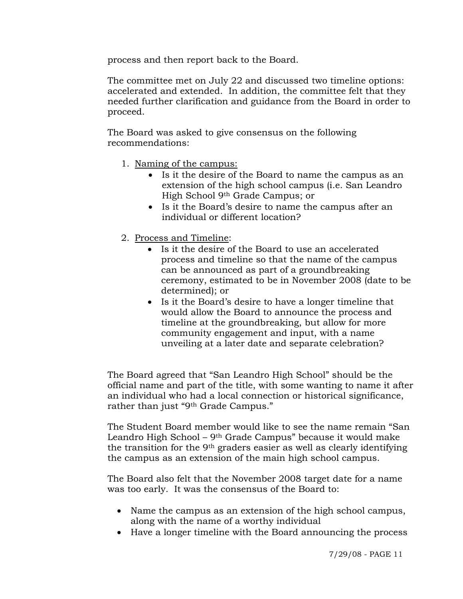process and then report back to the Board.

The committee met on July 22 and discussed two timeline options: accelerated and extended. In addition, the committee felt that they needed further clarification and guidance from the Board in order to proceed.

The Board was asked to give consensus on the following recommendations:

- 1. Naming of the campus:
	- Is it the desire of the Board to name the campus as an extension of the high school campus (i.e. San Leandro High School 9th Grade Campus; or
	- Is it the Board's desire to name the campus after an individual or different location?
- 2. Process and Timeline:
	- Is it the desire of the Board to use an accelerated process and timeline so that the name of the campus can be announced as part of a groundbreaking ceremony, estimated to be in November 2008 (date to be determined); or
	- Is it the Board's desire to have a longer timeline that would allow the Board to announce the process and timeline at the groundbreaking, but allow for more community engagement and input, with a name unveiling at a later date and separate celebration?

The Board agreed that "San Leandro High School" should be the official name and part of the title, with some wanting to name it after an individual who had a local connection or historical significance, rather than just "9th Grade Campus."

The Student Board member would like to see the name remain "San Leandro High School – 9th Grade Campus" because it would make the transition for the 9th graders easier as well as clearly identifying the campus as an extension of the main high school campus.

The Board also felt that the November 2008 target date for a name was too early. It was the consensus of the Board to:

- Name the campus as an extension of the high school campus, along with the name of a worthy individual
- Have a longer timeline with the Board announcing the process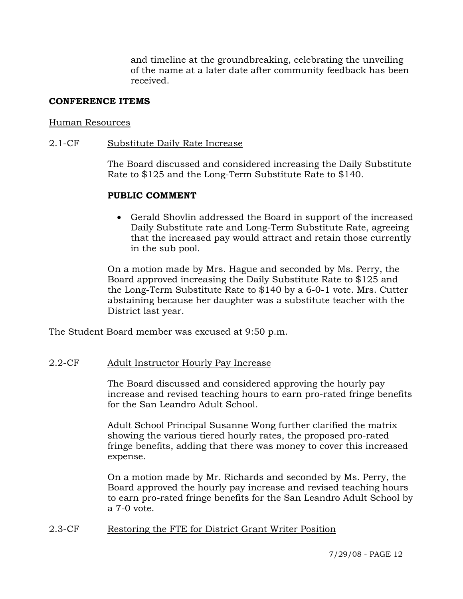and timeline at the groundbreaking, celebrating the unveiling of the name at a later date after community feedback has been received.

### **CONFERENCE ITEMS**

#### Human Resources

#### 2.1-CF Substitute Daily Rate Increase

The Board discussed and considered increasing the Daily Substitute Rate to \$125 and the Long-Term Substitute Rate to \$140.

### **PUBLIC COMMENT**

• Gerald Shovlin addressed the Board in support of the increased Daily Substitute rate and Long-Term Substitute Rate, agreeing that the increased pay would attract and retain those currently in the sub pool.

On a motion made by Mrs. Hague and seconded by Ms. Perry, the Board approved increasing the Daily Substitute Rate to \$125 and the Long-Term Substitute Rate to \$140 by a 6-0-1 vote. Mrs. Cutter abstaining because her daughter was a substitute teacher with the District last year.

The Student Board member was excused at 9:50 p.m.

### 2.2-CF Adult Instructor Hourly Pay Increase

The Board discussed and considered approving the hourly pay increase and revised teaching hours to earn pro-rated fringe benefits for the San Leandro Adult School.

Adult School Principal Susanne Wong further clarified the matrix showing the various tiered hourly rates, the proposed pro-rated fringe benefits, adding that there was money to cover this increased expense.

On a motion made by Mr. Richards and seconded by Ms. Perry, the Board approved the hourly pay increase and revised teaching hours to earn pro-rated fringe benefits for the San Leandro Adult School by a 7-0 vote.

### 2.3-CF Restoring the FTE for District Grant Writer Position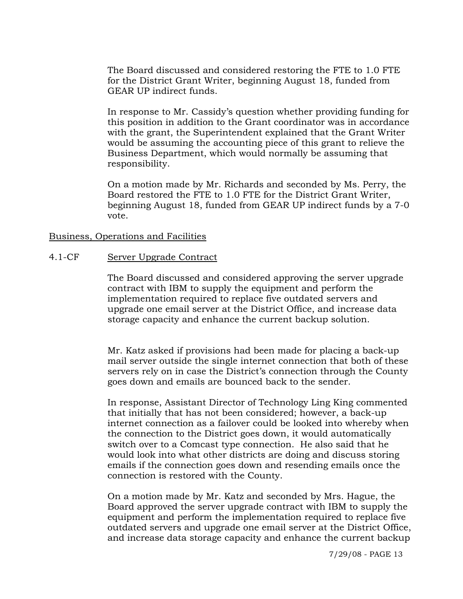The Board discussed and considered restoring the FTE to 1.0 FTE for the District Grant Writer, beginning August 18, funded from GEAR UP indirect funds.

In response to Mr. Cassidy's question whether providing funding for this position in addition to the Grant coordinator was in accordance with the grant, the Superintendent explained that the Grant Writer would be assuming the accounting piece of this grant to relieve the Business Department, which would normally be assuming that responsibility.

On a motion made by Mr. Richards and seconded by Ms. Perry, the Board restored the FTE to 1.0 FTE for the District Grant Writer, beginning August 18, funded from GEAR UP indirect funds by a 7-0 vote.

### Business, Operations and Facilities

### 4.1-CF Server Upgrade Contract

The Board discussed and considered approving the server upgrade contract with IBM to supply the equipment and perform the implementation required to replace five outdated servers and upgrade one email server at the District Office, and increase data storage capacity and enhance the current backup solution.

Mr. Katz asked if provisions had been made for placing a back-up mail server outside the single internet connection that both of these servers rely on in case the District's connection through the County goes down and emails are bounced back to the sender.

In response, Assistant Director of Technology Ling King commented that initially that has not been considered; however, a back-up internet connection as a failover could be looked into whereby when the connection to the District goes down, it would automatically switch over to a Comcast type connection. He also said that he would look into what other districts are doing and discuss storing emails if the connection goes down and resending emails once the connection is restored with the County.

On a motion made by Mr. Katz and seconded by Mrs. Hague, the Board approved the server upgrade contract with IBM to supply the equipment and perform the implementation required to replace five outdated servers and upgrade one email server at the District Office, and increase data storage capacity and enhance the current backup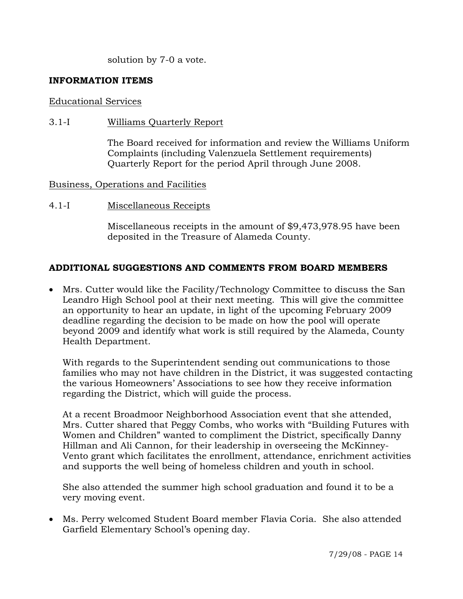solution by 7-0 a vote.

## **INFORMATION ITEMS**

### Educational Services

3.1-I Williams Quarterly Report

The Board received for information and review the Williams Uniform Complaints (including Valenzuela Settlement requirements) Quarterly Report for the period April through June 2008.

## Business, Operations and Facilities

4.1-I Miscellaneous Receipts

Miscellaneous receipts in the amount of \$9,473,978.95 have been deposited in the Treasure of Alameda County.

# **ADDITIONAL SUGGESTIONS AND COMMENTS FROM BOARD MEMBERS**

• Mrs. Cutter would like the Facility/Technology Committee to discuss the San Leandro High School pool at their next meeting. This will give the committee an opportunity to hear an update, in light of the upcoming February 2009 deadline regarding the decision to be made on how the pool will operate beyond 2009 and identify what work is still required by the Alameda, County Health Department.

With regards to the Superintendent sending out communications to those families who may not have children in the District, it was suggested contacting the various Homeowners' Associations to see how they receive information regarding the District, which will guide the process.

At a recent Broadmoor Neighborhood Association event that she attended, Mrs. Cutter shared that Peggy Combs, who works with "Building Futures with Women and Children" wanted to compliment the District, specifically Danny Hillman and Ali Cannon, for their leadership in overseeing the McKinney-Vento grant which facilitates the enrollment, attendance, enrichment activities and supports the well being of homeless children and youth in school.

She also attended the summer high school graduation and found it to be a very moving event.

• Ms. Perry welcomed Student Board member Flavia Coria. She also attended Garfield Elementary School's opening day.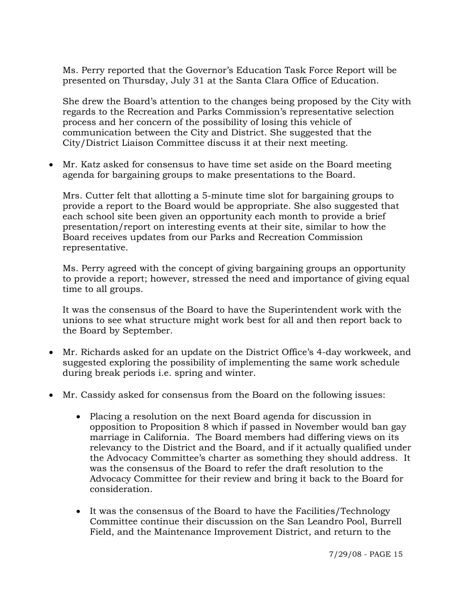Ms. Perry reported that the Governor's Education Task Force Report will be presented on Thursday, July 31 at the Santa Clara Office of Education.

She drew the Board's attention to the changes being proposed by the City with regards to the Recreation and Parks Commission's representative selection process and her concern of the possibility of losing this vehicle of communication between the City and District. She suggested that the City/District Liaison Committee discuss it at their next meeting.

• Mr. Katz asked for consensus to have time set aside on the Board meeting agenda for bargaining groups to make presentations to the Board.

Mrs. Cutter felt that allotting a 5-minute time slot for bargaining groups to provide a report to the Board would be appropriate. She also suggested that each school site been given an opportunity each month to provide a brief presentation/report on interesting events at their site, similar to how the Board receives updates from our Parks and Recreation Commission representative.

Ms. Perry agreed with the concept of giving bargaining groups an opportunity to provide a report; however, stressed the need and importance of giving equal time to all groups.

It was the consensus of the Board to have the Superintendent work with the unions to see what structure might work best for all and then report back to the Board by September.

- Mr. Richards asked for an update on the District Office's 4-day workweek, and suggested exploring the possibility of implementing the same work schedule during break periods i.e. spring and winter.
- Mr. Cassidy asked for consensus from the Board on the following issues:
	- Placing a resolution on the next Board agenda for discussion in opposition to Proposition 8 which if passed in November would ban gay marriage in California. The Board members had differing views on its relevancy to the District and the Board, and if it actually qualified under the Advocacy Committee's charter as something they should address. It was the consensus of the Board to refer the draft resolution to the Advocacy Committee for their review and bring it back to the Board for consideration.
	- It was the consensus of the Board to have the Facilities/Technology Committee continue their discussion on the San Leandro Pool, Burrell Field, and the Maintenance Improvement District, and return to the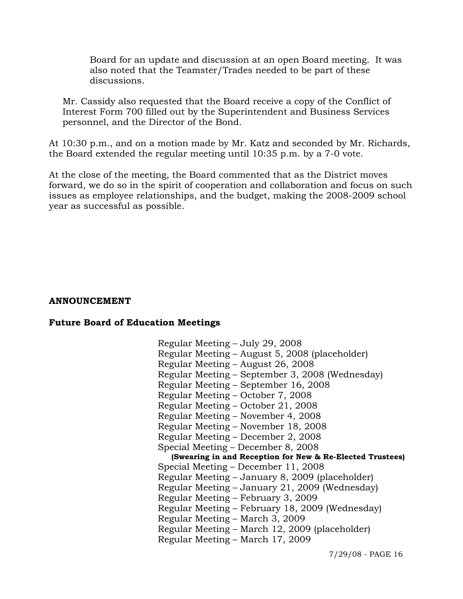Board for an update and discussion at an open Board meeting. It was also noted that the Teamster/Trades needed to be part of these discussions.

Mr. Cassidy also requested that the Board receive a copy of the Conflict of Interest Form 700 filled out by the Superintendent and Business Services personnel, and the Director of the Bond.

At 10:30 p.m., and on a motion made by Mr. Katz and seconded by Mr. Richards, the Board extended the regular meeting until 10:35 p.m. by a 7-0 vote.

At the close of the meeting, the Board commented that as the District moves forward, we do so in the spirit of cooperation and collaboration and focus on such issues as employee relationships, and the budget, making the 2008-2009 school year as successful as possible.

#### **ANNOUNCEMENT**

#### **Future Board of Education Meetings**

 Regular Meeting – July 29, 2008 Regular Meeting – August 5, 2008 (placeholder) Regular Meeting – August 26, 2008 Regular Meeting – September 3, 2008 (Wednesday) Regular Meeting – September 16, 2008 Regular Meeting – October 7, 2008 Regular Meeting – October 21, 2008 Regular Meeting – November 4, 2008 Regular Meeting – November 18, 2008 Regular Meeting – December 2, 2008 Special Meeting – December 8, 2008 **(Swearing in and Reception for New & Re-Elected Trustees)** Special Meeting – December 11, 2008 Regular Meeting – January 8, 2009 (placeholder) Regular Meeting – January 21, 2009 (Wednesday) Regular Meeting – February 3, 2009 Regular Meeting – February 18, 2009 (Wednesday) Regular Meeting – March 3, 2009 Regular Meeting – March 12, 2009 (placeholder) Regular Meeting – March 17, 2009